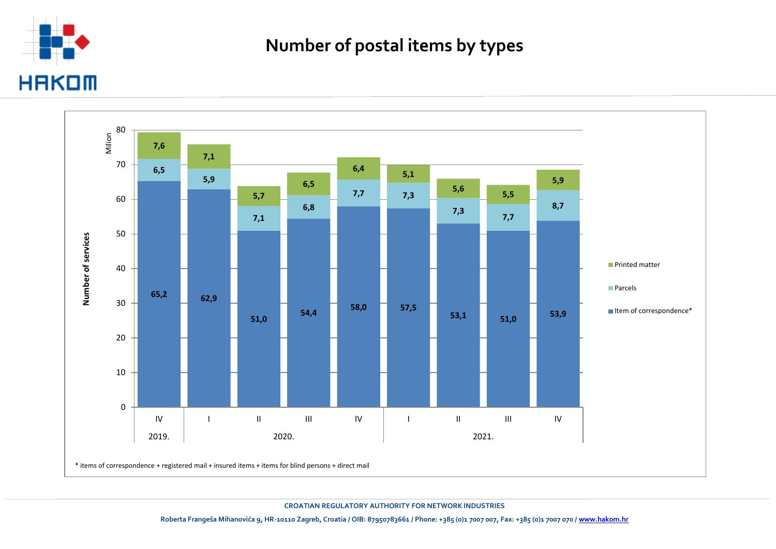

## **Number of postal items by types**



**CROATIAN REGULATORY AUTHORITY FOR NETWORK INDUSTRIES**

**Roberta Frangeša Mihanovića 9, HR-10110 Zagreb, Croatia / OIB: 87950783661 / Phone: +385 (0)1 7007 007, Fax: +385 (0)1 7007 070 [/ www.hakom.hr](http://www.hakom.hr/)**